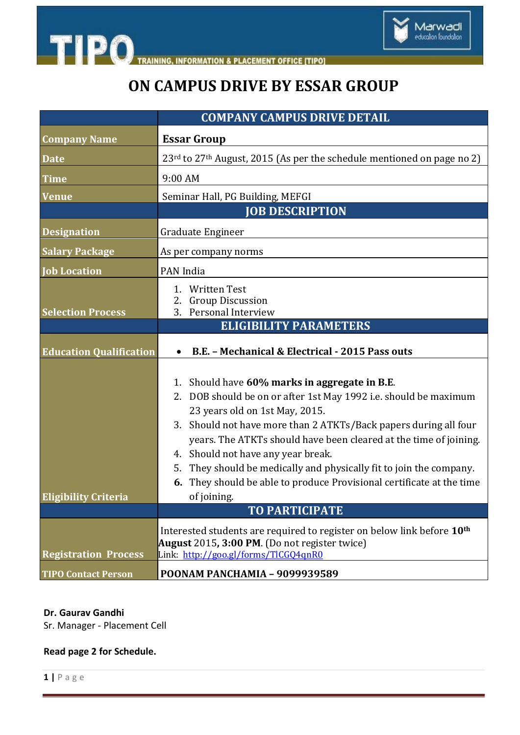

**INFORMATION & PLACEMENT OFFICE [TIPO]** 

# **ON CAMPUS DRIVE BY ESSAR GROUP**

|                                | <b>COMPANY CAMPUS DRIVE DETAIL</b>                                                                                                                                                                                                                                                                                                                                                                                                                                                                                               |
|--------------------------------|----------------------------------------------------------------------------------------------------------------------------------------------------------------------------------------------------------------------------------------------------------------------------------------------------------------------------------------------------------------------------------------------------------------------------------------------------------------------------------------------------------------------------------|
| <b>Company Name</b>            | <b>Essar Group</b>                                                                                                                                                                                                                                                                                                                                                                                                                                                                                                               |
| <b>Date</b>                    | 23 <sup>rd</sup> to 27 <sup>th</sup> August, 2015 (As per the schedule mentioned on page no 2)                                                                                                                                                                                                                                                                                                                                                                                                                                   |
| <b>Time</b>                    | 9:00 AM                                                                                                                                                                                                                                                                                                                                                                                                                                                                                                                          |
| <b>Venue</b>                   | Seminar Hall, PG Building, MEFGI                                                                                                                                                                                                                                                                                                                                                                                                                                                                                                 |
|                                | <b>JOB DESCRIPTION</b>                                                                                                                                                                                                                                                                                                                                                                                                                                                                                                           |
| <b>Designation</b>             | Graduate Engineer                                                                                                                                                                                                                                                                                                                                                                                                                                                                                                                |
| <b>Salary Package</b>          | As per company norms                                                                                                                                                                                                                                                                                                                                                                                                                                                                                                             |
| <b>Job Location</b>            | PAN India                                                                                                                                                                                                                                                                                                                                                                                                                                                                                                                        |
| <b>Selection Process</b>       | 1. Written Test<br>2. Group Discussion<br>3. Personal Interview                                                                                                                                                                                                                                                                                                                                                                                                                                                                  |
|                                | <b>ELIGIBILITY PARAMETERS</b>                                                                                                                                                                                                                                                                                                                                                                                                                                                                                                    |
| <b>Education Qualification</b> | B.E. - Mechanical & Electrical - 2015 Pass outs                                                                                                                                                                                                                                                                                                                                                                                                                                                                                  |
| <b>Eligibility Criteria</b>    | 1. Should have 60% marks in aggregate in B.E.<br>2. DOB should be on or after 1st May 1992 i.e. should be maximum<br>23 years old on 1st May, 2015.<br>3. Should not have more than 2 ATKTs/Back papers during all four<br>years. The ATKTs should have been cleared at the time of joining.<br>4. Should not have any year break.<br>They should be medically and physically fit to join the company.<br>5.<br>They should be able to produce Provisional certificate at the time<br>6.<br>of joining.<br><b>TO PARTICIPATE</b> |
|                                | Interested students are required to register on below link before 10 <sup>th</sup>                                                                                                                                                                                                                                                                                                                                                                                                                                               |
|                                | August 2015, $3:00$ PM. (Do not register twice)                                                                                                                                                                                                                                                                                                                                                                                                                                                                                  |
| <b>Registration Process</b>    | Link: http://goo.gl/forms/TlCGQ4qnR0                                                                                                                                                                                                                                                                                                                                                                                                                                                                                             |
| <b>TIPO Contact Person</b>     | POONAM PANCHAMIA - 9099939589                                                                                                                                                                                                                                                                                                                                                                                                                                                                                                    |

### **Dr. Gaurav Gandhi**

Sr. Manager - Placement Cell

### **Read page 2 for Schedule.**

**1 |** P a g e